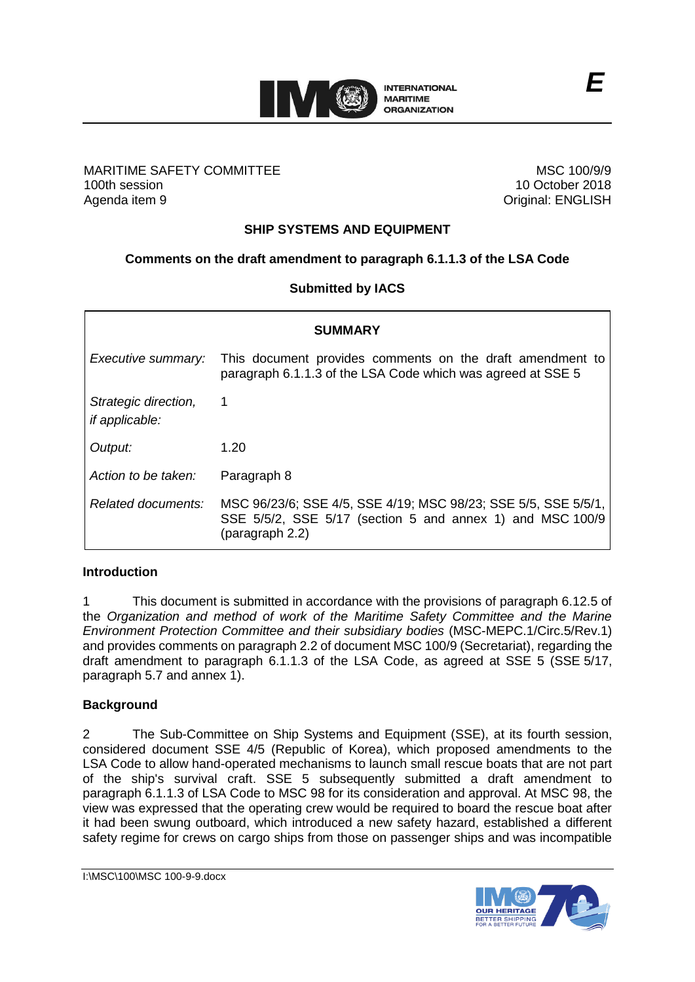

#### MARITIME SAFETY COMMITTEE 100th session Agenda item 9

MSC 100/9/9 10 October 2018 Original: ENGLISH

# **SHIP SYSTEMS AND EQUIPMENT**

### **Comments on the draft amendment to paragraph 6.1.1.3 of the LSA Code**

### **Submitted by IACS**

| <b>SUMMARY</b>                                |                                                                                                                                                |
|-----------------------------------------------|------------------------------------------------------------------------------------------------------------------------------------------------|
| Executive summary:                            | This document provides comments on the draft amendment to<br>paragraph 6.1.1.3 of the LSA Code which was agreed at SSE 5                       |
| Strategic direction,<br><i>if applicable:</i> |                                                                                                                                                |
| Output:                                       | 1.20                                                                                                                                           |
| Action to be taken:                           | Paragraph 8                                                                                                                                    |
| Related documents:                            | MSC 96/23/6; SSE 4/5, SSE 4/19; MSC 98/23; SSE 5/5, SSE 5/5/1,<br>SSE 5/5/2, SSE 5/17 (section 5 and annex 1) and MSC 100/9<br>(paragraph 2.2) |

### **Introduction**

1 This document is submitted in accordance with the provisions of paragraph 6.12.5 of the *Organization and method of work of the Maritime Safety Committee and the Marine Environment Protection Committee and their subsidiary bodies* (MSC-MEPC.1/Circ.5/Rev.1) and provides comments on paragraph 2.2 of document MSC 100/9 (Secretariat), regarding the draft amendment to paragraph 6.1.1.3 of the LSA Code, as agreed at SSE 5 (SSE 5/17, paragraph 5.7 and annex 1).

### **Background**

2 The Sub-Committee on Ship Systems and Equipment (SSE), at its fourth session, considered document SSE 4/5 (Republic of Korea), which proposed amendments to the LSA Code to allow hand-operated mechanisms to launch small rescue boats that are not part of the ship's survival craft. SSE 5 subsequently submitted a draft amendment to paragraph 6.1.1.3 of LSA Code to MSC 98 for its consideration and approval. At MSC 98, the view was expressed that the operating crew would be required to board the rescue boat after it had been swung outboard, which introduced a new safety hazard, established a different safety regime for crews on cargo ships from those on passenger ships and was incompatible

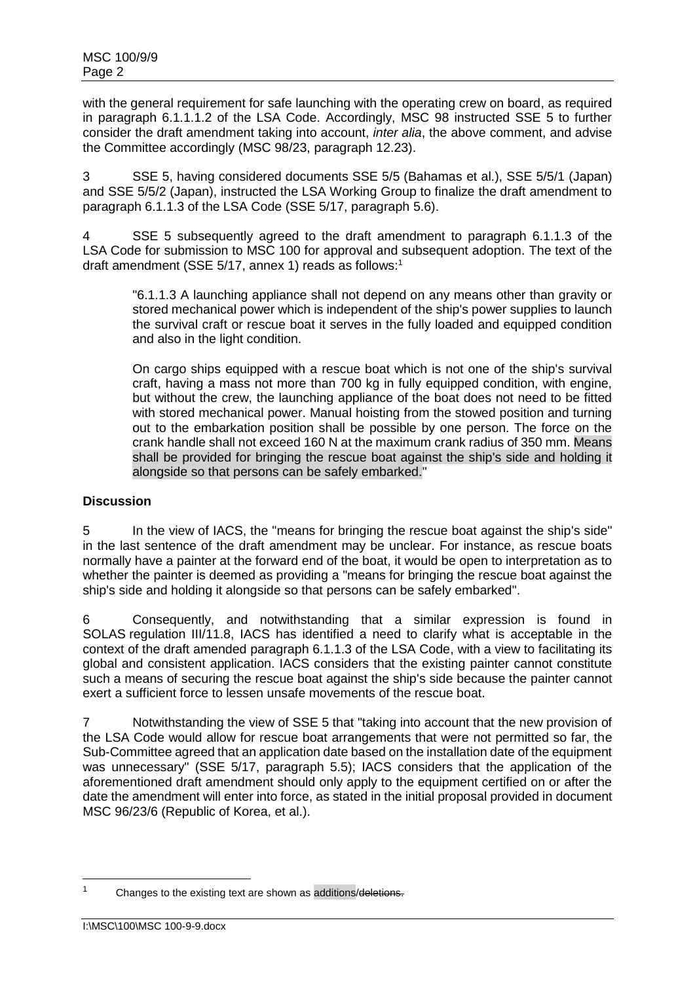with the general requirement for safe launching with the operating crew on board, as required in paragraph 6.1.1.1.2 of the LSA Code. Accordingly, MSC 98 instructed SSE 5 to further consider the draft amendment taking into account, *inter alia*, the above comment, and advise the Committee accordingly (MSC 98/23, paragraph 12.23).

3 SSE 5, having considered documents SSE 5/5 (Bahamas et al.), SSE 5/5/1 (Japan) and SSE 5/5/2 (Japan), instructed the LSA Working Group to finalize the draft amendment to paragraph 6.1.1.3 of the LSA Code (SSE 5/17, paragraph 5.6).

4 SSE 5 subsequently agreed to the draft amendment to paragraph 6.1.1.3 of the LSA Code for submission to MSC 100 for approval and subsequent adoption. The text of the draft amendment (SSE 5/17, annex 1) reads as follows: 1

"6.1.1.3 A launching appliance shall not depend on any means other than gravity or stored mechanical power which is independent of the ship's power supplies to launch the survival craft or rescue boat it serves in the fully loaded and equipped condition and also in the light condition.

On cargo ships equipped with a rescue boat which is not one of the ship's survival craft, having a mass not more than 700 kg in fully equipped condition, with engine, but without the crew, the launching appliance of the boat does not need to be fitted with stored mechanical power. Manual hoisting from the stowed position and turning out to the embarkation position shall be possible by one person. The force on the crank handle shall not exceed 160 N at the maximum crank radius of 350 mm. Means shall be provided for bringing the rescue boat against the ship's side and holding it alongside so that persons can be safely embarked."

### **Discussion**

5 In the view of IACS, the "means for bringing the rescue boat against the ship's side" in the last sentence of the draft amendment may be unclear. For instance, as rescue boats normally have a painter at the forward end of the boat, it would be open to interpretation as to whether the painter is deemed as providing a "means for bringing the rescue boat against the ship's side and holding it alongside so that persons can be safely embarked".

6 Consequently, and notwithstanding that a similar expression is found in SOLAS regulation III/11.8, IACS has identified a need to clarify what is acceptable in the context of the draft amended paragraph 6.1.1.3 of the LSA Code, with a view to facilitating its global and consistent application. IACS considers that the existing painter cannot constitute such a means of securing the rescue boat against the ship's side because the painter cannot exert a sufficient force to lessen unsafe movements of the rescue boat.

7 Notwithstanding the view of SSE 5 that "taking into account that the new provision of the LSA Code would allow for rescue boat arrangements that were not permitted so far, the Sub-Committee agreed that an application date based on the installation date of the equipment was unnecessary" (SSE 5/17, paragraph 5.5); IACS considers that the application of the aforementioned draft amendment should only apply to the equipment certified on or after the date the amendment will enter into force, as stated in the initial proposal provided in document MSC 96/23/6 (Republic of Korea, et al.).

 $\overline{a}$ 

<sup>&</sup>lt;sup>1</sup> Changes to the existing text are shown as additions/deletions.